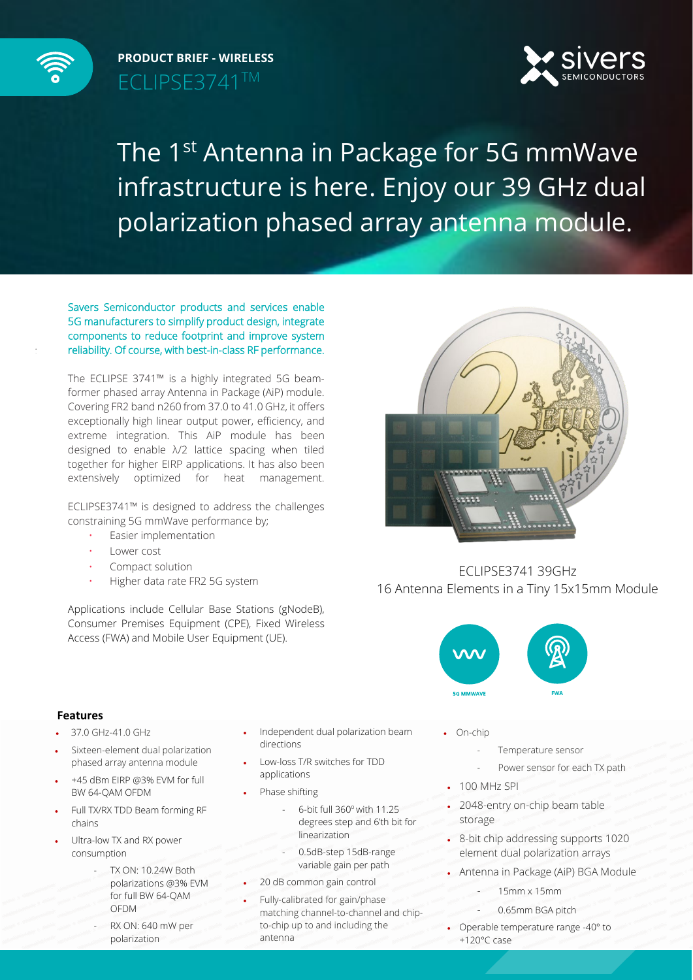**PRODUCT BRIEF - WIRELESS** ECLIPSE3741TM



## The 1<sup>st</sup> Antenna in Package for 5G mmWave infrastructure is here. Enjoy our 39 GHz dual polarization phased array antenna module.

Savers Semiconductor products and services enable 5G manufacturers to simplify product design, integrate components to reduce footprint and improve system reliability. Of course, with best-in-class RF performance.

The ECLIPSE 3741™ is a highly integrated 5G beamextreme integration. This AiP module has been former phased array Antenna in Package (AiP) module. Covering FR2 band n260 from 37.0 to 41.0 GHz, it offers exceptionally high linear output power, efficiency, and designed to enable λ/2 lattice spacing when tiled together for higher EIRP applications. It has also been extensively optimized for heat management.

ECLIPSE3741™ is designed to address the challenges constraining 5G mmWave performance by;

- Easier implementation
- Lower cost
- Compact solution
- Higher data rate FR2 5G system

Applications include Cellular Base Stations (gNodeB), Consumer Premises Equipment (CPE), Fixed Wireless Access (FWA) and Mobile User Equipment (UE).



## ECLIPSE3741 39GHz 16 Antenna Elements in a Tiny 15x15mm Module



## **Features**

:

- 37.0 GHz-41.0 GHz
- Sixteen-element dual polarization phased array antenna module
- +45 dBm EIRP @3% EVM for full BW 64-QAM OFDM
- Full TX/RX TDD Beam forming RF chains
- Ultra-low TX and RX power consumption
	- TX ON: 10.24W Both polarizations @3% EVM for full BW 64-QAM OFDM
	- RX ON: 640 mW per polarization
- Independent dual polarization beam directions
- Low-loss T/R switches for TDD applications
- Phase shifting
	- 6-bit full 360° with 11.25 degrees step and 6'th bit for linearization
	- 0.5dB-step 15dB-range variable gain per path
- 20 dB common gain control
- Fully-calibrated for gain/phase matching channel-to-channel and chipto-chip up to and including the antenna
- On-chip
	- Temperature sensor
	- Power sensor for each TX path
- 100 MHz SPI
- 2048-entry on-chip beam table storage
- 8-bit chip addressing supports 1020 element dual polarization arrays
- Antenna in Package (AiP) BGA Module
	- 15mm x 15mm
	- 0.65mm BGA pitch
- Operable temperature range -40° to +120°C case